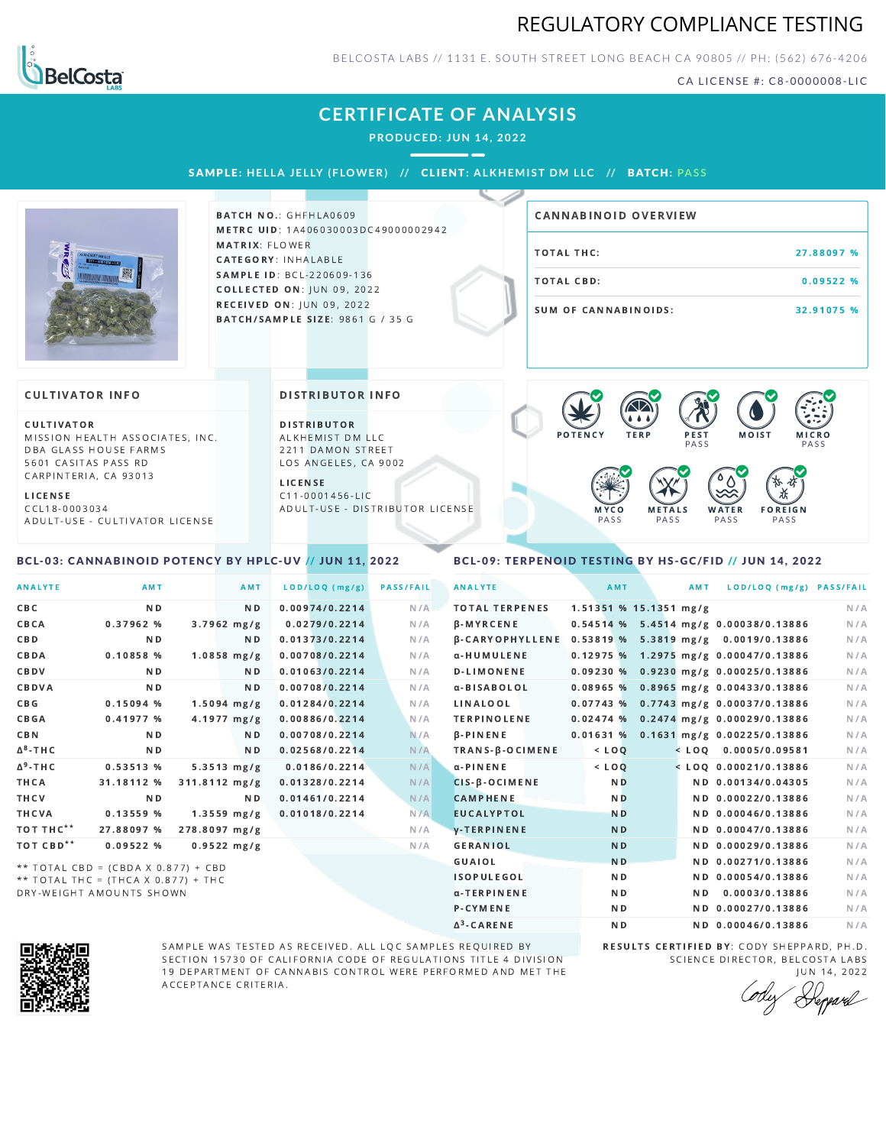## REGULATORY COMPLIANCE TESTING



BELCOSTA LABS // 1131 E. SOUTH STREET LONG BEACH C A 90805 // PH: (562) 676-4206

CA LICENSE #: C8-0000008-LIC

## **CERTIFICATE OF ANALYSIS**

**PRODUCED: JUN 14, 2022**

SAMPLE: HELLA JELLY (FLOWER) // CLIENT: ALKHEMIST DM LLC // BATCH: PASS



**BATCH NO.: GHFHLA0609** METRC UID: 1A406030003DC49000002942 MATRIX: FLOWER CATEGORY: INHALABLE SAMPLE ID: BCL-220609-136 **COLLECTED ON: JUN 09, 2022** RECEIVED ON: JUN 09, 2022 BATCH/SAMPLE SIZE: 9861 G / 35 G

# TOTAL THC: 27.88097 % TOTAL CBD: 0.09522 % SUM OF CANNABINOIDS: 32.91075 % CANNABINOID OVERVIEW

#### **CULTIVATOR INFO**

CULTIVATOR MISSION HEALTH ASSOCIATES, INC. DBA GLASS HOUSE FARMS 5601 CASITAS PASS RD CARPINTERIA, CA 93013

L I C E N S E

C C L 1 8 - 0 0 0 3 0 3 4 A D U L T - U S E - C U L T I V A T O R L I CENSE

<span id="page-0-0"></span>BCL-03: CANNABINOID POTENCY BY HPLC-UV // JUN 11, 2022

#### DISTRIBUTOR INFO

D I STRIBUTOR ALKHEMIST DM LLC 2211 DAMON STREET LOS ANGELES, CA 9002

L I C E N S E C 1 1 - 0 0 0 1 4 5 6 - L I C A D U L T - U S E - D I STRIBUTOR LICENSE



#### <span id="page-0-1"></span>BCL-09: TERPENOID TESTING BY HS-GC/FID // JUN 14, 2022

| <b>ANALYTE</b>        | AMT                                 | AMT                     | LOD/LOQ (mg/g) | <b>PASS/FAIL</b> | <b>ANALYTE</b>         | AMT            | <b>AMT</b>               | LOD/LOQ (mg/g) PASS/FAIL                |     |
|-----------------------|-------------------------------------|-------------------------|----------------|------------------|------------------------|----------------|--------------------------|-----------------------------------------|-----|
| CBC                   | ND.                                 | ND.                     | 0.00974/0.2214 | N/A              | <b>TOTAL TERPENES</b>  |                | $1.51351$ % 15.1351 mg/g |                                         | N/A |
| CBCA                  | 0.37962 %                           | $3.7962$ mg/g           | 0.0279/0.2214  | N/A              | <b>B-MYRCENE</b>       |                |                          | 0.54514 % 5.4514 mg/g 0.00038/0.13886   | N/A |
| CBD                   | N <sub>D</sub>                      | ND.                     | 0.01373/0.2214 | N/A              | <b>B-CARYOPHYLLENE</b> |                |                          | 0.53819 % 5.3819 mg/g 0.0019/0.13886    | N/A |
| CBDA                  | 0.10858 %                           | $1.0858$ mg/g           | 0.00708/0.2214 | N/A              | α-HUMULENE             |                |                          | $0.12975$ % 1.2975 mg/g 0.00047/0.13886 | N/A |
| CBDV                  | N <sub>D</sub>                      | N <sub>D</sub>          | 0.01063/0.2214 | N/A              | <b>D-LIMONENE</b>      |                |                          | $0.09230\%$ 0.9230 mg/g 0.00025/0.13886 | N/A |
| CBDVA                 | ND.                                 | N <sub>D</sub>          | 0.00708/0.2214 | N/A              | a-BISABOLOL            |                |                          | $0.08965$ % 0.8965 mg/g 0.00433/0.13886 | N/A |
| C B G                 | 0.15094%                            | $1.5094$ mg/g           | 0.01284/0.2214 | N/A              | LINALOOL               |                |                          | 0.07743 % 0.7743 mg/g 0.00037/0.13886   | N/A |
| <b>CBGA</b>           | 0.41977%                            | $4.1977 \, mg/g$        | 0.00886/0.2214 | N/A              | <b>TERPINOLENE</b>     |                |                          | $0.02474$ % 0.2474 mg/g 0.00029/0.13886 | N/A |
| <b>CBN</b>            | N <sub>D</sub>                      | ND.                     | 0.00708/0.2214 | N/A              | $\beta$ -PINENE        | 0.01631%       |                          | 0.1631 mg/g 0.00225/0.13886             | N/A |
| $\Delta^8$ -THC       | ND.                                 | ND.                     | 0.02568/0.2214 | N/A              | TRANS-B-OCIMENE        | $<$ LOQ        |                          | $<$ LOQ 0.0005/0.09581                  | N/A |
| $\Delta^9$ -THC       | 0.53513 %                           | $5.3513 \, mg/g$        | 0.0186/0.2214  | N/A              | $\alpha$ -PINENE       | $<$ LOQ        |                          | $<$ LOQ 0.00021/0.13886                 | N/A |
| <b>THCA</b>           | 31.18112 %                          | $311.8112 \text{ mg/g}$ | 0.01328/0.2214 | N/A              | $CIS-B-OCIMENE$        | N <sub>D</sub> |                          | ND 0.00134/0.04305                      | N/A |
| THCV                  | N <sub>D</sub>                      | N <sub>D</sub>          | 0.01461/0.2214 | N/A              | <b>CAMPHENE</b>        | N <sub>D</sub> |                          | ND 0.00022/0.13886                      | N/A |
| <b>THCVA</b>          | 0.13559%                            | $1.3559$ mg/g           | 0.01018/0.2214 | N/A              | <b>EUCALYPTOL</b>      | <b>ND</b>      |                          | ND 0.00046/0.13886                      | N/A |
| TOT THC**             | 27.88097 %                          | 278.8097 mg/g           |                | N/A              | <b>V-TERPINENE</b>     | <b>ND</b>      |                          | ND 0.00047/0.13886                      | N/A |
| TOT CBD <sup>**</sup> | 0.09522%                            | $0.9522$ mg/g           |                | N/A              | <b>GERANIOL</b>        | <b>ND</b>      |                          | ND 0.00029/0.13886                      | N/A |
|                       | ** TOTAL CBD = (CBDA X 0.877) + CBD |                         |                |                  | <b>GUAIOL</b>          | N <sub>D</sub> |                          | ND 0.00271/0.13886                      | N/A |
|                       | ** TOTAL THC = (THCA X 0.877) + THC |                         |                |                  | <b>ISOPULEGOL</b>      | N <sub>D</sub> |                          | ND 0.00054/0.13886                      | N/A |
|                       | DRY-WEIGHT AMOUNTS SHOWN            |                         |                |                  | α-TERPINENE            | N <sub>D</sub> |                          | ND 0.0003/0.13886                       | N/A |

Δ 3



SAMPLE WAS TESTED AS RECEIVED. ALL LQC SAMPLES REQUIRED BY SECTION 15730 OF CALIFORNIA CODE OF REGULATIONS TITLE 4 DIVISION 19 DEPARTMENT OF CANNABIS CONTROL WERE PERFORMED AND MET THE A C C E P T A N C E C R I T E R I A.

RESULTS CERTIFIED BY: CODY SHEPPARD, PH.D. SCIENCE DIRECTOR, BELCOSTA LABS J U N 1 4 , 2 0 2 2

ND ND 0.00046/0.13886 N/A

**P-CYMENE ND ND ND ND 0.00027/0.13886** N/A

Deppard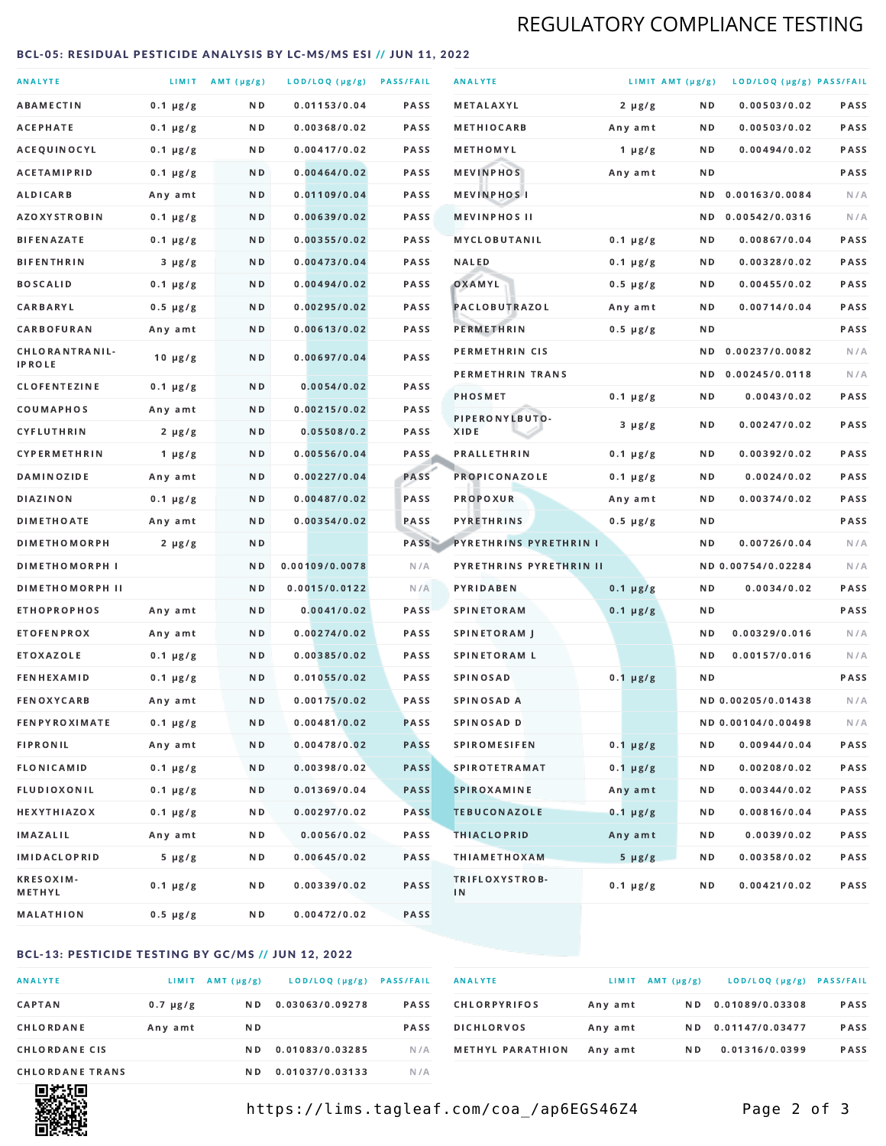## REGULATORY COMPLIANCE TESTING

#### <span id="page-1-0"></span>BCL-05: RESIDUAL PESTICIDE ANALYSIS BY LC-MS/MS ESI // JUN 11, 2022

| <b>ANALYTE</b>                  |               | LIMIT AMT (µg/g) | LOD/LOQ (µg/g) PASS/FAIL |             | <b>ANALYTE</b>                | LIMIT AMT (µg/g) |     | LOD/LOQ (µg/g) PASS/FAIL |             |
|---------------------------------|---------------|------------------|--------------------------|-------------|-------------------------------|------------------|-----|--------------------------|-------------|
| <b>ABAMECTIN</b>                | $0.1 \mu g/g$ | ND.              | 0.01153/0.04             | <b>PASS</b> | <b>METALAXYL</b>              | $2 \mu g/g$      | N D | 0.00503/0.02             | PASS        |
| ACEPHATE                        | $0.1 \mu g/g$ | N D              | 0.00368/0.02             | <b>PASS</b> | <b>METHIOCARB</b>             | Any amt          | N D | 0.00503/0.02             | <b>PASS</b> |
| ACEQUINOCYL                     | $0.1 \mu g/g$ | N D              | 0.00417/0.02             | PASS        | METHOMYL                      | 1 $\mu$ g/g      | N D | 0.00494/0.02             | PASS        |
| <b>ACETAMIPRID</b>              | $0.1 \mu g/g$ | ND.              | 0.00464/0.02             | <b>PASS</b> | <b>MEVINPHOS</b>              | Any amt          | N D |                          | PASS        |
| <b>ALDICARB</b>                 | Any amt       | N D              | 0.01109/0.04             | <b>PASS</b> | <b>MEVINPHOSI</b>             |                  | N D | 0.00163/0.0084           | N/A         |
| <b>AZOXYSTROBIN</b>             | $0.1 \mu g/g$ | N D              | 0.00639/0.02             | <b>PASS</b> | <b>MEVINPHOS II</b>           |                  | ND. | 0.00542/0.0316           | N/A         |
| <b>BIFENAZATE</b>               | $0.1 \mu g/g$ | N D              | 0.00355/0.02             | <b>PASS</b> | <b>MYCLOBUTANIL</b>           | $0.1 \mu g/g$    | N D | 0.00867/0.04             | PASS        |
| <b>BIFENTHRIN</b>               | $3 \mu g/g$   | N D              | 0.00473/0.04             | <b>PASS</b> | <b>NALED</b>                  | $0.1 \mu g/g$    | N D | 0.00328/0.02             | PASS        |
| <b>BOSCALID</b>                 | $0.1 \mu g/g$ | ND.              | 0.00494/0.02             | PASS        | OXAMYL                        | $0.5 \mu g/g$    | N D | 0.00455/0.02             | <b>PASS</b> |
| CARBARYL                        | $0.5 \mu g/g$ | N D              | 0.00295/0.02             | PASS        | PACLOBUTRAZOL                 | Any amt          | N D | 0.00714/0.04             | PASS        |
| CARBOFURAN                      | Any amt       | N D              | 0.00613/0.02             | <b>PASS</b> | PERMETHRIN                    | $0.5 \mu g/g$    | N D |                          | PASS        |
| CHLORANTRANIL-<br><b>IPROLE</b> | $10 \mu g/g$  | N D              | 0.00697/0.04             | PASS        | PERMETHRIN CIS                |                  | N D | 0.00237/0.0082           | N/A         |
| <b>CLOFENTEZINE</b>             | $0.1 \mu g/g$ | ND               | 0.0054/0.02              | <b>PASS</b> | PERMETHRIN TRANS              |                  |     | ND 0.00245/0.0118        | N/A         |
| COUMAPHOS                       | Any amt       | N D              | 0.00215/0.02             | <b>PASS</b> | <b>PHOSMET</b>                | $0.1 \mu g/g$    | N D | 0.0043/0.02              | PASS        |
| CYFLUTHRIN                      | $2 \mu g/g$   | ND.              | 0.05508/0.2              | <b>PASS</b> | PIPERONYLBUTO-<br>XIDE        | $3 \mu g/g$      | N D | 0.00247/0.02             | PASS        |
| <b>CYPERMETHRIN</b>             | 1 $\mu$ g/g   | N D              | 0.00556/0.04             | <b>PASS</b> | <b>PRALLETHRIN</b>            | $0.1 \mu g/g$    | N D | 0.00392/0.02             | PASS        |
| <b>DAMINOZIDE</b>               | Any amt       | ND.              | 0.00227/0.04             | PASS        | PROPICONAZOLE                 | $0.1 \mu g/g$    | N D | 0.0024/0.02              | PASS        |
| <b>DIAZINON</b>                 | $0.1 \mu g/g$ | N D              | 0.00487/0.02             | <b>PASS</b> | <b>PROPOXUR</b>               | Any amt          | N D | 0.00374/0.02             | PASS        |
| <b>DIMETHOATE</b>               | Any amt       | N D              | 0.00354/0.02             | PASS        | <b>PYRETHRINS</b>             | $0.5 \mu g/g$    | N D |                          | PASS        |
| <b>DIMETHOMORPH</b>             | $2 \mu g/g$   | N D              |                          | PASS        | <b>PYRETHRINS PYRETHRIN I</b> |                  | N D | 0.00726/0.04             | N/A         |
| <b>DIMETHOMORPH I</b>           |               | N D              | 0.00109/0.0078           | N/A         | PYRETHRINS PYRETHRIN II       |                  |     | ND 0.00754/0.02284       | N/A         |
| <b>DIMETHOMORPH II</b>          |               | ND               | 0.0015/0.0122            | N/A         | PYRIDABEN                     | $0.1 \mu g/g$    | N D | 0.0034/0.02              | PASS        |
| <b>ETHOPROPHOS</b>              | Any amt       | ND.              | 0.0041/0.02              | PASS        | <b>SPINETORAM</b>             | $0.1 \mu g/g$    | N D |                          | PASS        |
| <b>ETOFENPROX</b>               | Any amt       | N D              | 0.00274/0.02             | <b>PASS</b> | SPINETORAM J                  |                  | N D | 0.00329/0.016            | N/A         |
| <b>ETOXAZOLE</b>                | $0.1 \mu g/g$ | ND.              | 0.00385/0.02             | <b>PASS</b> | <b>SPINETORAM L</b>           |                  | N D | 0.00157/0.016            | N/A         |
| <b>FENHEXAMID</b>               | $0.1 \mu g/g$ | N D              | 0.01055/0.02             | PASS        | <b>SPINOSAD</b>               | $0.1 \mu g/g$    | N D |                          | PASS        |
| <b>FENOXYCARB</b>               | Any amt       | N D              | 0.00175/0.02             | <b>PASS</b> | SPINOSAD A                    |                  |     | ND 0.00205/0.01438       | N/A         |
| <b>FENPYROXIMATE</b>            | $0.1 \mu g/g$ | N D              | 0.00481/0.02             | <b>PASS</b> | SPINOSAD D                    |                  |     | ND 0.00104/0.00498       | N/A         |
| <b>FIPRONIL</b>                 | Any amt       | N D              | 0.00478/0.02             | <b>PASS</b> | <b>SPIROMESIFEN</b>           | $0.1 \mu g/g$    | N D | 0.00944/0.04             | PASS        |
| <b>FLONICAMID</b>               | $0.1 \mu g/g$ | N D              | 0.00398/0.02             | <b>PASS</b> | <b>SPIROTETRAMAT</b>          | $0.1 \mu g/g$    | N D | 0.00208/0.02             | PASS        |
| FLUDIOXONIL                     | $0.1 \mu g/g$ | N D              | 0.01369/0.04             | <b>PASS</b> | SPIROXAMINE                   | Any amt          | N D | 0.00344/0.02             | PASS        |
| <b>HEXYTHIAZOX</b>              | $0.1 \mu g/g$ | N D              | 0.00297/0.02             | <b>PASS</b> | <b>TEBUCONAZOLE</b>           | $0.1 \mu g/g$    | N D | 0.00816/0.04             | PASS        |
| IMAZALIL                        | Any amt       | N D              | 0.0056/0.02              | PASS        | <b>THIACLOPRID</b>            | Any amt          | N D | 0.0039/0.02              | PASS        |
| <b>IMIDACLOPRID</b>             | $5 \mu g/g$   | N D              | 0.00645/0.02             | PASS        | <b>THIAMETHOXAM</b>           | $5 \mu g/g$      | N D | 0.00358/0.02             | PASS        |
| <b>KRESOXIM-</b><br>METHYL      | $0.1 \mu g/g$ | N D              | 0.00339/0.02             | PASS        | TRIFLOXYSTROB-<br>IN          | $0.1 \mu g/g$    | N D | 0.00421/0.02             | PASS        |
| <b>MALATHION</b>                | 0.5 µg/g      | N D              | 0.00472/0.02             | PASS        |                               |                  |     |                          |             |

#### BCL-13: PESTICIDE TESTING BY GC/MS // JUN 12, 2022

| <b>ANALYTE</b>         | LIMIT         | AMT (µg/g) | LOD/LOQ (µg/g)  | <b>PASS/FAIL</b> |
|------------------------|---------------|------------|-----------------|------------------|
| <b>CAPTAN</b>          | $0.7 \mu g/g$ | N D        | 0.03063/0.09278 | <b>PASS</b>      |
| CHLORDANE              | Any amt       | N D        |                 | <b>PASS</b>      |
| <b>CHLORDANE CIS</b>   |               | N D        | 0.01083/0.03285 | N / A            |
| <b>CHLORDANE TRANS</b> |               | N D        | 0.01037/0.03133 | N / A            |

| <b>ANALYTE</b>          |         | LIMIT AMT $(\mu g/g)$ | LOD/LOQ (µg/g)  | <b>PASS/FAIL</b> |
|-------------------------|---------|-----------------------|-----------------|------------------|
| <b>CHLORPYRIFOS</b>     | Any amt | N D                   | 0.01089/0.03308 | <b>PASS</b>      |
| <b>DICHLORVOS</b>       | Any amt | N D                   | 0.01147/0.03477 | <b>PASS</b>      |
| <b>METHYL PARATHION</b> | Any amt | N D                   | 0.01316/0.0399  | <b>PASS</b>      |